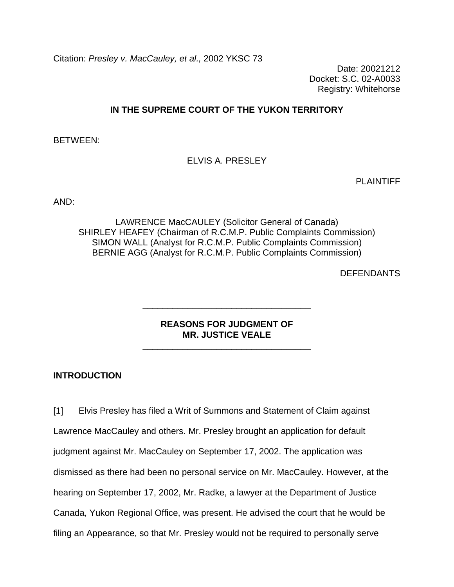Citation: *Presley v. MacCauley, et al.,* 2002 YKSC 73

Date: 20021212 Docket: S.C. 02-A0033 Registry: Whitehorse

## **IN THE SUPREME COURT OF THE YUKON TERRITORY**

BETWEEN:

ELVIS A. PRESLEY

PLAINTIFF

AND:

LAWRENCE MacCAULEY (Solicitor General of Canada) SHIRLEY HEAFEY (Chairman of R.C.M.P. Public Complaints Commission) SIMON WALL (Analyst for R.C.M.P. Public Complaints Commission) BERNIE AGG (Analyst for R.C.M.P. Public Complaints Commission)

**DEFENDANTS** 

### **REASONS FOR JUDGMENT OF MR. JUSTICE VEALE**

\_\_\_\_\_\_\_\_\_\_\_\_\_\_\_\_\_\_\_\_\_\_\_\_\_\_\_\_\_\_\_\_\_\_

\_\_\_\_\_\_\_\_\_\_\_\_\_\_\_\_\_\_\_\_\_\_\_\_\_\_\_\_\_\_\_\_\_\_

#### **INTRODUCTION**

[1] Elvis Presley has filed a Writ of Summons and Statement of Claim against Lawrence MacCauley and others. Mr. Presley brought an application for default judgment against Mr. MacCauley on September 17, 2002. The application was dismissed as there had been no personal service on Mr. MacCauley. However, at the hearing on September 17, 2002, Mr. Radke, a lawyer at the Department of Justice Canada, Yukon Regional Office, was present. He advised the court that he would be filing an Appearance, so that Mr. Presley would not be required to personally serve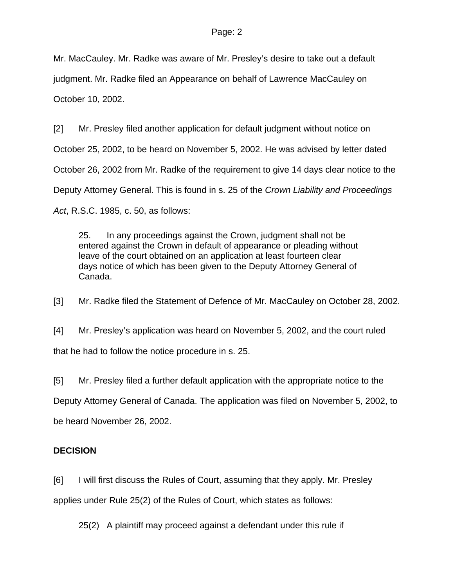Mr. MacCauley. Mr. Radke was aware of Mr. Presley's desire to take out a default judgment. Mr. Radke filed an Appearance on behalf of Lawrence MacCauley on October 10, 2002.

[2] Mr. Presley filed another application for default judgment without notice on October 25, 2002, to be heard on November 5, 2002. He was advised by letter dated October 26, 2002 from Mr. Radke of the requirement to give 14 days clear notice to the Deputy Attorney General. This is found in s. 25 of the *Crown Liability and Proceedings Act*, R.S.C. 1985, c. 50, as follows:

25. In any proceedings against the Crown, judgment shall not be entered against the Crown in default of appearance or pleading without leave of the court obtained on an application at least fourteen clear days notice of which has been given to the Deputy Attorney General of Canada.

[3] Mr. Radke filed the Statement of Defence of Mr. MacCauley on October 28, 2002.

[4] Mr. Presley's application was heard on November 5, 2002, and the court ruled that he had to follow the notice procedure in s. 25.

[5] Mr. Presley filed a further default application with the appropriate notice to the Deputy Attorney General of Canada. The application was filed on November 5, 2002, to be heard November 26, 2002.

# **DECISION**

[6] I will first discuss the Rules of Court, assuming that they apply. Mr. Presley applies under Rule 25(2) of the Rules of Court, which states as follows:

25(2) A plaintiff may proceed against a defendant under this rule if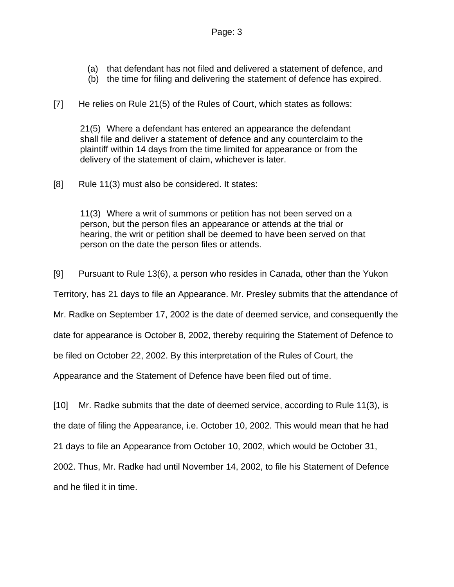- (a) that defendant has not filed and delivered a statement of defence, and
- (b) the time for filing and delivering the statement of defence has expired.

[7] He relies on Rule 21(5) of the Rules of Court, which states as follows:

21(5) Where a defendant has entered an appearance the defendant shall file and deliver a statement of defence and any counterclaim to the plaintiff within 14 days from the time limited for appearance or from the delivery of the statement of claim, whichever is later.

[8] Rule 11(3) must also be considered. It states:

11(3) Where a writ of summons or petition has not been served on a person, but the person files an appearance or attends at the trial or hearing, the writ or petition shall be deemed to have been served on that person on the date the person files or attends.

[9] Pursuant to Rule 13(6), a person who resides in Canada, other than the Yukon

Territory, has 21 days to file an Appearance. Mr. Presley submits that the attendance of

Mr. Radke on September 17, 2002 is the date of deemed service, and consequently the

date for appearance is October 8, 2002, thereby requiring the Statement of Defence to

be filed on October 22, 2002. By this interpretation of the Rules of Court, the

Appearance and the Statement of Defence have been filed out of time.

[10] Mr. Radke submits that the date of deemed service, according to Rule 11(3), is the date of filing the Appearance, i.e. October 10, 2002. This would mean that he had 21 days to file an Appearance from October 10, 2002, which would be October 31, 2002. Thus, Mr. Radke had until November 14, 2002, to file his Statement of Defence and he filed it in time.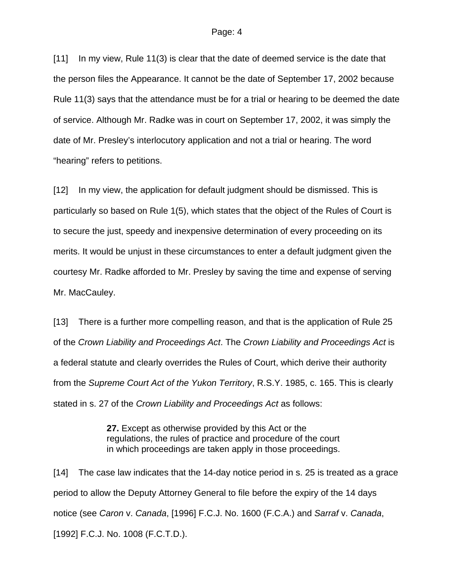#### Page: 4

[11] In my view, Rule 11(3) is clear that the date of deemed service is the date that the person files the Appearance. It cannot be the date of September 17, 2002 because Rule 11(3) says that the attendance must be for a trial or hearing to be deemed the date of service. Although Mr. Radke was in court on September 17, 2002, it was simply the date of Mr. Presley's interlocutory application and not a trial or hearing. The word "hearing" refers to petitions.

[12] In my view, the application for default judgment should be dismissed. This is particularly so based on Rule 1(5), which states that the object of the Rules of Court is to secure the just, speedy and inexpensive determination of every proceeding on its merits. It would be unjust in these circumstances to enter a default judgment given the courtesy Mr. Radke afforded to Mr. Presley by saving the time and expense of serving Mr. MacCauley.

[13] There is a further more compelling reason, and that is the application of Rule 25 of the *Crown Liability and Proceedings Act*. The *Crown Liability and Proceedings Act* is a federal statute and clearly overrides the Rules of Court, which derive their authority from the *Supreme Court Act of the Yukon Territory*, R.S.Y. 1985, c. 165. This is clearly stated in s. 27 of the *Crown Liability and Proceedings Act* as follows:

> **27.** Except as otherwise provided by this Act or the regulations, the rules of practice and procedure of the court in which proceedings are taken apply in those proceedings.

[14] The case law indicates that the 14-day notice period in s. 25 is treated as a grace period to allow the Deputy Attorney General to file before the expiry of the 14 days notice (see *Caron* v. *Canada*, [1996] F.C.J. No. 1600 (F.C.A.) and *Sarraf* v. *Canada*, [1992] F.C.J. No. 1008 (F.C.T.D.).